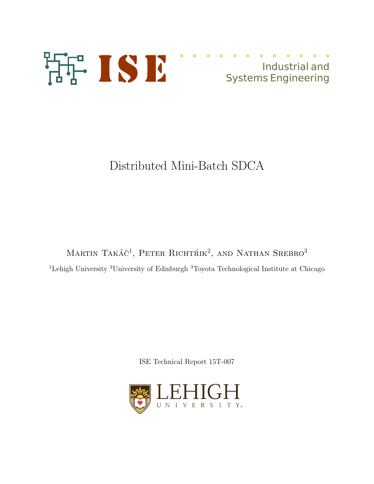



# Distributed Mini-Batch SDCA

Martin Takáč<sup>1</sup>, Peter Richtrik<sup>2</sup>, and Nathan Srebro<sup>3</sup> <sup>1</sup>Lehigh University <sup>2</sup>University of Edinburgh <sup>3</sup>Toyota Technological Institute at Chicago

ISE Technical Report 15T-007

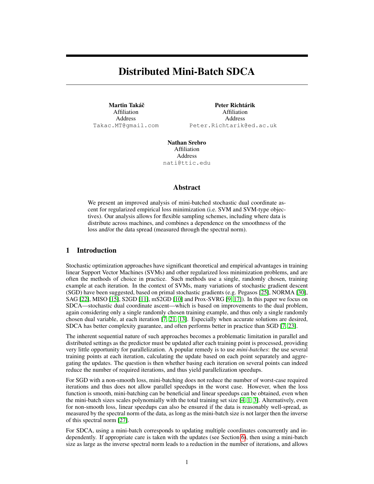# Distributed Mini-Batch SDCA

Martin Takáč Affiliation Address Takac.MT@gmail.com

Peter Richtárik Affiliation Address Peter.Richtarik@ed.ac.uk

Nathan Srebro Affiliation Address nati@ttic.edu

#### Abstract

We present an improved analysis of mini-batched stochastic dual coordinate ascent for regularized empirical loss minimization (i.e. SVM and SVM-type objectives). Our analysis allows for flexible sampling schemes, including where data is distribute across machines, and combines a dependence on the smoothness of the loss and/or the data spread (measured through the spectral norm).

# 1 Introduction

Stochastic optimization approaches have significant theoretical and empirical advantages in training linear Support Vector Machines (SVMs) and other regularized loss minimization problems, and are often the methods of choice in practice. Such methods use a single, randomly chosen, training example at each iteration. In the context of SVMs, many variations of stochastic gradient descent (SGD) have been suggested, based on primal stochastic gradients (e.g. Pegasos [25], NORMA [30], SAG [22], MISO [15], S2GD [11], mS2GD [10] and Prox-SVRG [9, 17]). In this paper we focus on SDCA—stochastic dual coordinate ascent—which is based on improvements to the dual problem, again considering only a single randomly chosen training example, and thus only a single randomly chosen dual variable, at each iteration [7, 21, 13]. Especially when accurate solutions are desired, SDCA has better complexity guarantee, and often performs better in practice than SGD [7, 23].

The inherent sequential nature of such approaches becomes a problematic limitation in parallel and distributed settings as the predictor must be updated after each training point is processed, providing very little opportunity for parallelization. A popular remedy is to use *mini-batches*: the use several training points at each iteration, calculating the update based on each point separately and aggregating the updates. The question is then whether basing each iteration on several points can indeed reduce the number of required iterations, and thus yield parallelization speedups.

For SGD with a non-smooth loss, mini-batching does not reduce the number of worst-case required iterations and thus does not allow parallel speedups in the worst case. However, when the loss function is smooth, mini-batching can be beneficial and linear speedups can be obtained, even when the mini-batch sizes scales polynomially with the total training set size [4, 1, 3]. Alternatively, even for non-smooth loss, linear speedups can also be ensured if the data is reasonably well-spread, as measured by the spectral norm of the data, as long as the mini-batch size is not larger then the inverse of this spectral norm [27].

For SDCA, using a mini-batch corresponds to updating multiple coordinates concurrently and independently. If appropriate care is taken with the updates (see Section 6), then using a mini-batch size as large as the inverse spectral norm leads to a reduction in the number of iterations, and allows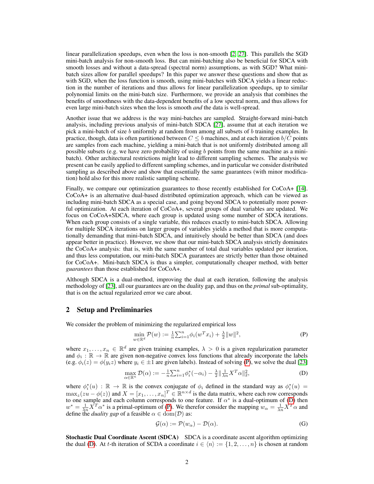linear parallelization speedups, even when the loss is non-smooth [2, 27]. This parallels the SGD mini-batch analysis for non-smooth loss. But can mini-batching also be beneficial for SDCA with smooth losses and without a data-spread (spectral norm) assumptions, as with SGD? What minibatch sizes allow for parallel speedups? In this paper we answer these questions and show that as with SGD, when the loss function is smooth, using mini-batches with SDCA yields a linear reduction in the number of iterations and thus allows for linear parallelization speedups, up to similar polynomial limits on the mini-batch size. Furthermore, we provide an analysis that combines the benefits of smoothness with the data-dependent benefits of a low spectral norm, and thus allows for even large mini-batch sizes when the loss is smooth *and* the data is well-spread.

Another issue that we address is the way mini-batches are sampled. Straight-forward mini-batch analysis, including previous analysis of mini-batch SDCA [27], assume that at each iteration we pick a mini-batch of size  $b$  uniformly at random from among all subsets of  $b$  training examples. In practice, though, data is often partitioned between  $C \leq b$  machines, and at each iteration  $b/C$  points are samples from each machine, yielding a mini-batch that is not uniformly distributed among all possible subsets (e.g. we have zero probability of using  $b$  points from the same machine as a minibatch). Other architectural restrictions might lead to different sampling schemes. The analysis we present can be easily applied to different sampling schemes, and in particular we consider distributed sampling as described above and show that essentially the same guarantees (with minor modification) hold also for this more realistic sampling scheme.

Finally, we compare our optimization guarantees to those recently established for CoCoA+ [14]. CoCoA+ is an alternative dual-based distributed optimization approach, which can be viewed as including mini-batch SDCA as a special case, and going beyond SDCA to potentially more powerful optimization. At each iteration of CoCoA+, several groups of dual variables are updated. We focus on CoCoA+SDCA, where each group is updated using some number of SDCA iterations. When each group consists of a single variable, this reduces exactly to mini-batch SDCA. Allowing for multiple SDCA iterations on larger groups of variables yields a method that is more computationally demanding that mini-batch SDCA, and intuitively should be better than SDCA (and does appear better in practice). However, we show that our mini-batch SDCA analysis strictly dominates the CoCoA+ analysis: that is, with the same number of total dual variables updated per iteration, and thus less computation, our mini-batch SDCA guarantees are strictly better than those obtained for CoCoA+. Mini-batch SDCA is thus a simpler, computationally cheaper method, with better *guarantees* than those established for CoCoA+.

Although SDCA is a dual-method, improving the dual at each iteration, following the analysis methodology of [23], all our guarantees are on the duality gap, and thus on the *primal* sub-optimality, that is on the actual regularized error we care about.

#### 2 Setup and Preliminaries

We consider the problem of minimizing the regularized empirical loss

$$
\min_{w \in \mathbb{R}^d} \mathcal{P}(w) := \frac{1}{n} \sum_{i=1}^n \phi_i(w^T x_i) + \frac{\lambda}{2} ||w||^2,
$$
 (P)

where  $x_1, \ldots, x_n \in \mathbb{R}^d$  are given training examples,  $\lambda > 0$  is a given regularization parameter and  $\phi_i : \mathbb{R} \to \mathbb{R}$  are given non-negative convex loss functions that already incorporate the labels (e.g.  $\phi_i(z) = \phi(y_i z)$  where  $y_i \in \pm 1$  are given labels). Instead of solving (P), we solve the dual [23]

$$
\max_{\alpha \in \mathbb{R}^n} \mathcal{D}(\alpha) := -\frac{1}{n} \sum_{i=1}^n \phi_i^*(-\alpha_i) - \frac{\lambda}{2} \|\frac{1}{\lambda n} X^T \alpha\|_2^2,
$$
 (D)

where  $\phi_i^*(u) : \mathbb{R} \to \mathbb{R}$  is the convex conjugate of  $\phi_i$  defined in the standard way as  $\phi_i^*(u)$  = where  $\varphi_i(u)$ .  $\mathbb{R} \to \mathbb{R}$  is the convex conjugate or  $\varphi_i$  defined in the standard way as  $\varphi_i(u)$  =  $\max_z(zu - \varphi(z))$  and  $X = [x_1, \dots, x_n]^T \in \mathbb{R}^{n \times d}$  is the data matrix, where each row corresponds to one sample and each column corresponds to one feature. If  $\alpha^*$  is a dual-optimum of (D) then  $w^* = \frac{1}{\lambda n} \overline{X}^T \alpha^*$  is a primal-optimum of (P). We therefor consider the mapping  $w_\alpha = \frac{1}{\lambda n} \overline{X}^T \alpha$  and define the *duality gap* of a feasible  $\alpha \in \text{dom}(\mathcal{D})$  as:

$$
\mathcal{G}(\alpha) := \mathcal{P}(w_{\alpha}) - \mathcal{D}(\alpha). \tag{G}
$$

Stochastic Dual Coordinate Ascent (SDCA) SDCA is a coordinate ascent algorithm optimizing the dual (D). At t-th iteration of SCDA a coordinate  $i \in \langle n \rangle := \{1, 2, \ldots, n\}$  is chosen at random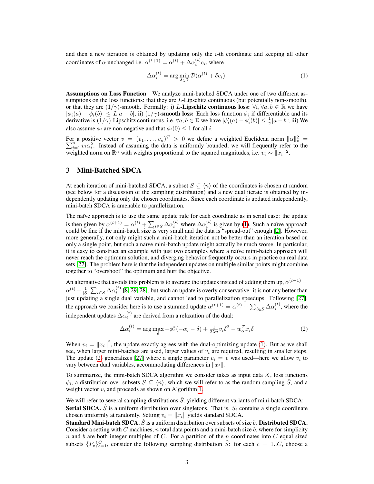and then a new iteration is obtained by updating only the  $i$ -th coordinate and keeping all other coordinates of  $\alpha$  unchanged i.e.  $\alpha^{(t+1)} = \alpha^{(t)} + \Delta \alpha_i^{(t)} e_i$ , where

$$
\Delta \alpha_i^{(t)} = \arg \min_{\delta \in \mathbb{R}} \mathcal{D}(\alpha^{(t)} + \delta e_i). \tag{1}
$$

Assumptions on Loss Function We analyze mini-batched SDCA under one of two different assumptions on the loss functions: that they are L-Lipschitz continuous (but potentially non-smooth), or that they are  $(1/\gamma)$ -smooth. Formally: i) L-**Lipschitz continuous loss:**  $\forall i, \forall a, b \in \mathbb{R}$  we have  $|\phi_i(a) - \phi_i(b)| \le L|a - b|$ , ii)  $(1/\gamma)$ -smooth loss: Each loss function  $\phi_i$  if differentiable and its derivative is  $(1/\gamma)$ -Lipschitz continuous, i.e.  $\forall a, b \in \mathbb{R}$  we have  $|\phi_i'(a) - \phi_i'(b)| \leq \frac{1}{\gamma} |a - b|$ ; iii) We also assume  $\phi_i$  are non-negative and that  $\phi_i(0) \leq 1$  for all *i*.

For a positive vector  $v = (v_1, \dots, v_n)^T > 0$  we define a weighted Euclidean norm  $||\alpha||_v^2 = \sum_{i=1}^n v_i \alpha_i^2$ . Instead of assuming the data is uniformly bounded, we will frequently refer to the weighted norm on  $\mathbb{R}^n$  with weights proportional to the squared magnitudes, i.e.  $v_i \sim ||x_i||^2$ .

#### 3 Mini-Batched SDCA

At each iteration of mini-batched SDCA, a subset  $S \subseteq \langle n \rangle$  of the coordinates is chosen at random (see below for a discussion of the sampling distribution) and a new dual iterate is obtained by independently updating only the chosen coordinates. Since each coordinate is updated independently, mini-batch SDCA is amenable to parallelization.

The naïve approach is to use the same update rule for each coordinate as in serial case: the update is then given by  $\alpha^{(t+1)} = \alpha^{(t)} + \sum_{i \in S} \Delta \alpha_i^{(t)}$  where  $\Delta \alpha_i^{(t)}$  is given by (1). Such a naïve approach could be fine if the mini-batch size is very small and the data is "spread-out" enough [2]. However, more generally, not only might such a mini-batch iteration not be better than an iteration based on only a single point, but such a naïve mini-batch update might actually be much worse. In particular, it is easy to construct an example with just two examples where a naïve mini-batch approach will never reach the optimum solution, and diverging behavior frequently occurs in practice on real data sets [27]. The problem here is that the independent updates on multiple similar points might combine together to "overshoot" the optimum and hurt the objective.

An alternative that avoids this problem is to average the updates instead of adding them up,  $\alpha^{(t+1)}$  =  $\alpha^{(t)} + \frac{1}{|S|} \sum_{i \in S} \Delta \alpha_i^{(t)}$  [8, 29, 28], but such an update is overly conservative: it is not any better than just updating a single dual variable, and cannot lead to parallelization speedups. Following [27], the approach we consider here is to use a summed update  $\alpha^{(t+1)} = \alpha^{(t)} + \sum_{i \in S} \Delta \alpha_i^{(t)}$ , where the independent updates  $\Delta \alpha_i^{(t)}$  are derived from a relaxation of the dual:

$$
\Delta \alpha_i^{(t)} = \arg \max_{\delta} -\phi_i^*(-\alpha_i - \delta) + \frac{1}{2\lambda n} v_i \delta^2 - w_\alpha^T x_i \delta \tag{2}
$$

When  $v_i = ||x_i||^2$ , the update exactly agrees with the dual-optimizing update (1). But as we shall see, when larger mini-batches are used, larger values of  $v_i$  are required, resulting in smaller steps. The update (2) generalizes [27] where a single parameter  $v_i = v$  was used—here we allow  $v_i$  to vary between dual variables, accommodating differences in  $||x_i||$ .

To summarize, the mini-batch SDCA algorithm we consider takes as input data  $X$ , loss functions  $\phi_i$ , a distribution over subsets  $S \subseteq \langle n \rangle$ , which we will refer to as the random sampling  $\hat{S}$ , and a weight vector  $v$ , and proceeds as shown on Algorithm 1.

We will refer to several sampling distributions  $\ddot{S}$ , yielding different variants of mini-batch SDCA: **Serial SDCA.**  $\hat{S}$  is a uniform distribution over singletons. That is,  $S_t$  contains a single coordinate chosen uniformly at randomly. Setting  $v_i = ||x_i||$  yields standard SDCA.

**Standard Mini-batch SDCA.**  $\hat{S}$  is a uniform distribution over subsets of size b. **Distributed SDCA.** Consider a setting with C machines,  $n$  total data points and a mini-batch size  $b$ , where for simplicity n and b are both integer multiples of C. For a partition of the  $n$  coordinates into C equal sized subsets  $\{P_c\}_{c=1}^C$ , consider the following sampling distribution  $\hat{S}$ : for each  $c = 1..C$ , choose a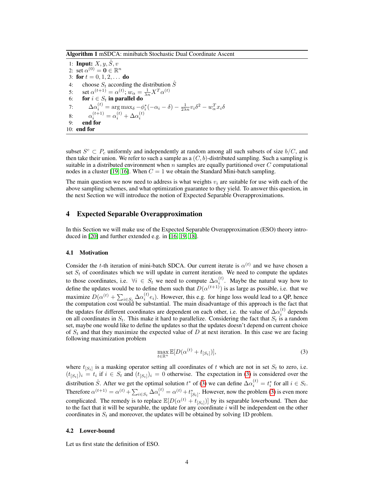Algorithm 1 mSDCA: minibatch Stochastic Dual Coordinate Ascent

1: **Input:**  $X, y, \hat{S}, v$ 2: set  $\alpha^{(0)} = \mathbf{0} \in \mathbb{R}^n$ 3: for  $t = 0, 1, 2, \ldots$  do 4: choose  $S_t$  according the distribution  $\hat{S}$ 5: set  $\alpha^{(t+1)} = \alpha^{(t)}$ ;  $w_{\alpha} = \frac{1}{\lambda n} X^{T} \alpha^{(t)}$ 6: for  $i \in S_t$  in parallel do 7:  $\Delta \alpha_i^{(t)} = \arg \max_{\delta} -\phi_i^*(-\alpha_i - \delta) - \frac{1}{2\lambda n}v_i\delta^2 - w_\alpha^T x_i\delta$ 8:  $\alpha_i^{(t+1)} = \alpha_i^{(t)} + \Delta \alpha_i^{(t)}$ 9: end for 10: end for

subset  $S^c \subset P_c$  uniformly and independently at random among all such subsets of size  $b/C$ , and then take their union. We refer to such a sample as a  $(C, b)$ -distributed sampling. Such a sampling is suitable in a distributed environment when  $n$  samples are equally partitioned over  $C$  computational nodes in a cluster [19, 16]. When  $C = 1$  we obtain the Standard Mini-batch sampling.

The main question we now need to address is what weights  $v_i$  are suitable for use with each of the above sampling schemes, and what optimization guarantee to they yield. To answer this question, in the next Section we will introduce the notion of Expected Separable Overapproximations.

#### 4 Expected Separable Overapproximation

In this Section we will make use of the Expected Separable Overapproximation (ESO) theory introduced in [20] and further extended e.g. in [16, 19, 18].

#### 4.1 Motivation

Consider the *t*-th iteration of mini-batch SDCA. Our current iterate is  $\alpha^{(t)}$  and we have chosen a set  $S_t$  of coordinates which we will update in current iteration. We need to compute the updates to those coordinates, i.e.  $\forall i \in S_t$  we need to compute  $\Delta \alpha_i^{(t)}$ . Maybe the natural way how to define the updates would be to define them such that  $D(\alpha^{(t+1)})$  is as large as possible, i.e. that we maximize  $D(\alpha^{(t)} + \sum_{i \in S_t} \Delta \alpha_i^{(t)} e_i)$ . However, this e.g. for hinge loss would lead to a QP, hence the computation cost would be substantial. The main disadvantage of this approach is the fact that the updates for different coordinates are dependent on each other, i.e. the value of  $\Delta \alpha_i^{(t)}$  depends on all coordinates in  $S_t$ . This make it hard to parallelize. Considering the fact that  $S_t$  is a random set, maybe one would like to define the updates so that the updates doesn't depend on current choice of  $S_t$  and that they maximize the expected value of D at next iteration. In this case we are facing following maximization problem

$$
\max_{t \in \mathbb{R}^n} \mathbb{E}[D(\alpha^{(t)} + t_{[S_t]})],\tag{3}
$$

where  $t_{[S_t]}$  is a masking operator setting all coordinates of t which are not in set  $S_t$  to zero, i.e.  $(t_{[S_t]})_i = t_i$  if  $i \in S_t$  and  $(t_{[S_t]})_i = 0$  otherwise. The expectation in (3) is considered over the distribution  $\hat{S}$ . After we get the optimal solution  $t^*$  of (3) we can define  $\Delta \alpha_i^{(t)} = t_i^*$  for all  $i \in S_t$ . Therefore  $\alpha^{(t+1)} = \alpha^{(t)} + \sum_{i \in S_t} \Delta \alpha_i^{(t)} = \alpha^{(t)} + t_{[S_t]}^*$ . However, now the problem (3) is even more complicated. The remedy is to replace  $\mathbb{E}[D(\alpha^{(t)} + t_{[S_t]})]$  by its separable lowerbound. Then due to the fact that it will be separable, the update for any coordinate  $i$  will be independent on the other coordinates in  $S_t$  and moreover, the updates will be obtained by solving 1D problem.

#### 4.2 Lower-bound

Let us first state the definition of ESO.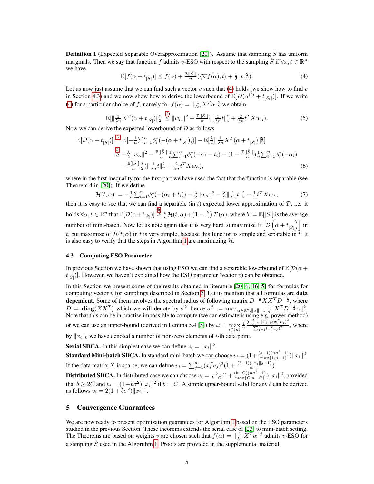**Definition 1** (Expected Separable Overapproximation [20]). Assume that sampling  $\hat{S}$  has uniform marginals. Then we say that function f admits v-ESO with respect to the sampling  $\hat{S}$  if  $\forall x, t \in \mathbb{R}^n$ we have

$$
\mathbb{E}[f(\alpha+t_{\left[\hat{S}\right]})] \le f(\alpha) + \frac{\mathbb{E}[\left|\hat{S}\right|]}{n}(\langle\nabla f(\alpha),t\rangle + \frac{1}{2}\|t\|_{v}^{2}).\tag{4}
$$

Let us now just assume that we can find such a vector v such that (4) holds (we show how to find v in Section 4.3) and we now show how to derive the lowerbound of  $\mathbb{E}[D(\alpha^{(t)} + t_{[S_t]})]$ . If we write (4) for a particular choice of f, namely for  $f(\alpha) = \frac{\ln 1}{\lambda n} X^T \alpha \|^2$  we obtain

$$
\mathbb{E}[\|\frac{1}{\lambda n}X^T(\alpha+t_{[\hat{S}]})\|_2^2] \stackrel{(4)}{\leq} \|w_\alpha\|^2 + \frac{\mathbb{E}[\hat{S}]}{n} (\|\frac{1}{\lambda n}t\|_v^2 + \frac{2}{\lambda n}t^T X w_\alpha). \tag{5}
$$

Now we can derive the expected lowerbound of  $D$  as follows

$$
\mathbb{E}[\mathcal{D}(\alpha+t_{[\hat{S}]})] \stackrel{\text{(D)}}{=} \mathbb{E}[-\frac{1}{n}\sum_{i=1}^{n}\phi_i^*(-(\alpha+t_{[\hat{S}]})_i)] - \mathbb{E}[\frac{\lambda}{2}||\frac{1}{\lambda n}X^T(\alpha+t_{[\hat{S}]})||_2^2] \n\geq -\frac{\lambda}{2}||w_{\alpha}||^2 - \frac{\mathbb{E}[\hat{S}||}{n}\frac{1}{n}\sum_{i=1}^{n}\phi_i^*(-\alpha_i-t_i) - (1-\frac{\mathbb{E}[\hat{S}||}{n})\frac{1}{n}\sum_{i=1}^{n}\phi_i^*(-\alpha_i) \n- \frac{\mathbb{E}[\hat{S}||}{n}\frac{\lambda}{2}(||\frac{1}{\lambda n}t||_v^2 + \frac{2}{\lambda n}t^TXw_{\alpha}),
$$
\n(6)

where in the first inequality for the first part we have used the fact that the function is separable (see Theorem 4 in [20]). If we define

$$
\mathcal{H}(t,\alpha) := -\frac{1}{n} \sum_{i=1}^{n} \phi_i^* \left( -(\alpha_i + t_i) \right) - \frac{\lambda}{2} \| w_\alpha \|^2 - \frac{\lambda}{2} \| \frac{1}{\lambda n} t \|_v^2 - \frac{1}{n} t^T X w_\alpha, \tag{7}
$$

then it is easy to see that we can find a separable (in t) expected lower approximation of  $D$ , i.e. it holds  $\forall \alpha, t \in \mathbb{R}^n$  that  $\mathbb{E}[\mathcal{D}(\alpha+t_{[\hat{S}]})] \overset{(6)}{\geq} \frac{b}{n}\mathcal{H}(t, \alpha) + \left(1 - \frac{b}{n}\right)\mathcal{D}(\alpha)$ , where  $b := \mathbb{E}[|\hat{S}|]$  is the average number of mini-batch. Now let us note again that it is very hard to maximize  $\mathbb{E}\left[\mathcal{D}\left(\alpha+t_{[\hat{S}]}\right)\right]$  in t, but maximize of  $\mathcal{H}(t, \alpha)$  in t is very simple, because this function is simple and separable in t. It is also easy to verify that the steps in Algorithm 1 are maximizing  $H$ .

#### 4.3 Computing ESO Parameter

In previous Section we have shown that using ESO we can find a separable lowerbound of  $\mathbb{E}[\mathcal{D}(\alpha +$  $t_{\left[\hat{S}\right]}$ ]. However, we haven't explained how the ESO parameter (vector v) can be obtained.

In this Section we present some of the results obtained in literature [20, 6, 16, 5] for formulas for computing vector  $v$  for samplings described in Section 3. Let us mention that all formulas are data dependent. Some of them involves the spectral radius of following matrix  $D^{-\frac{1}{2}}XX^T D^{-\frac{1}{2}}$ , where  $D = \text{diag}(XX^T)$  which we will denote by  $\sigma^2$ , hence  $\sigma^2 := \max_{\alpha \in \mathbb{R}^n : ||\alpha|| = 1} \frac{1}{n} ||X^T D^{-\frac{1}{2}} \alpha||^2$ . Note that this can be in practise impossible to compute (we can estimate is using e.g. power method) or we can use an upper-bound (derived in Lemma 5.4 [5]) by  $\omega = \max_{i \in \langle n \rangle}$  $\frac{1}{n}$  $\sum_{j=1}^d ||x_i||_0 (x_i^T e_j)^2$  $\frac{\sum_{j=1}^{d} ||x_i||_0(x_i, c_j)}{\sum_{j=1}^{d} (x_i^T e_j)^2}$ , where

by  $||x_i||_0$  we have denoted a number of non-zero elements of *i*-th data point.

**Serial SDCA.** In this simplest case we can define  $v_i = ||x_i||^2$ .

**Standard Mini-batch SDCA.** In standard mini-batch we can choose  $v_i = (1 + \frac{(b-1)(n\sigma^2 - 1)}{\max\{1, n-1\}})||x_i||^2$ . If the data matrix X is sparse, we can define  $v_i = \sum_{j=1}^d (x_i^T e_j)^2 (1 + \frac{(b-1)(||x_i||_0 - 1)}{n-1})$ . **Distributed SDCA.** In distributed case we can choose  $v_i = \frac{b}{b-C} \left(1 + \frac{(b-C)(n\sigma^2 - 1)}{\max\{C, n-C\}}\right) ||x_i||^2$ , provided that  $b \ge 2C$  and  $v_i = (1 + b\sigma^2) ||x_i||^2$  if  $b = C$ . A simple upper-bound valid for any b can be derived as follows  $v_i = 2(1 + b\sigma^2) ||x_i||^2$ .

#### 5 Convergence Guarantees

We are now ready to present optimization guarantees for Algorithm 1 based on the ESO parameters studied in the previous Section. These theorems extends the serial case of [23] to mini-batch setting. The Theorems are based on weights v are chosen such that  $f(\alpha) = \frac{\ln|\ln X^T \alpha||^2}{\lambda n}$  admits v-ESO for a sampling  $\hat{S}$  used in the Algorithm 1. Proofs are provided in the supplemental material.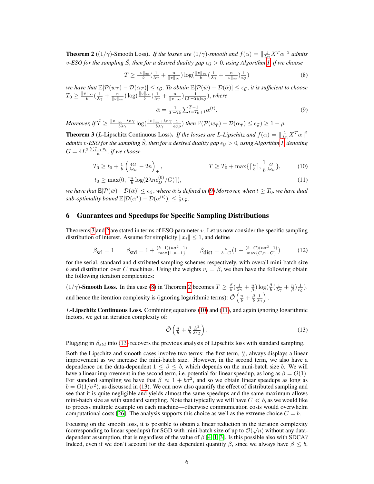**Theorem 2** ( $(1/\gamma)$ -Smooth Loss). *If the losses are*  $(1/\gamma)$ -*smooth and*  $f(\alpha) = \frac{1}{\lambda n} X^T \alpha \|^2$  *admits v*-ESO for the sampling  $\hat{S}$ , then for a desired duality gap  $\epsilon_{\mathcal{G}} > 0$ , using Algorithm 1, if we choose

$$
T \ge \frac{\|v\|_{\infty}}{b} \left(\frac{1}{\lambda \gamma} + \frac{n}{\|v\|_{\infty}}\right) \log\left(\frac{\|v\|_{\infty}}{b} \left(\frac{1}{\lambda \gamma} + \frac{n}{\|v\|_{\infty}}\right) \frac{1}{\epsilon_{\mathcal{G}}}\right) \tag{8}
$$

*we have that*  $\mathbb{E}[\mathcal{P}(w_T) - \mathcal{D}(\alpha_T)] \le \epsilon_{\mathcal{G}}$ . *To obtain*  $\mathbb{E}[\mathcal{P}(\bar{w}) - \mathcal{D}(\bar{\alpha})] \le \epsilon_{\mathcal{G}}$ , *it is sufficient to choose*  $T_0 \geq \frac{\|v\|_{\infty}}{b}(\frac{1}{\lambda\gamma}+\frac{n}{\|v\|_{\infty}})\log(\frac{\|v\|_{\infty}}{b}(\frac{1}{\lambda\gamma}+\frac{n}{\|v\|_{\infty}})\frac{1}{(T-T_0)\epsilon_{\mathcal{G}}}),$  where

$$
\bar{\alpha} = \frac{1}{T - T_0} \sum_{t = T_0 + 1}^{T - 1} \alpha^{(t)}.
$$
\n(9)

*Moreover, if*  $\tilde{T} \geq \frac{\|v\|_{\infty} + \lambda n \gamma}{b \lambda \gamma} \log(\frac{\|v\|_{\infty} + \lambda n \gamma}{b \lambda \gamma} \frac{1}{\epsilon_{\mathcal{G}} \rho})$  then  $\mathbb{P}(\mathcal{P}(w_{\tilde{T}}) - \mathcal{D}(\alpha_{\tilde{T}}) \leq \epsilon_{\mathcal{G}}) \geq 1 - \rho$ .

**Theorem 3** (*L*-Lipschitz Continuous Loss). *If the losses are L-Lipschitz and*  $f(\alpha) = \|\frac{1}{\lambda n}X^T\alpha\|^2$ admits v-ESO for the sampling  $\hat{S}$ , then for a desired duality gap  $\epsilon_\mathcal{G}>0$ , using Algorithm 1, denoting  $G = 4L^2 \frac{\sum_{i=1}^{n} v_i}{n}$ , if we choose

$$
T_0 \ge t_0 + \frac{1}{b} \left( \frac{4G}{\lambda \epsilon_{\mathcal{G}}} - 2n \right)_+, \qquad T \ge T_0 + \max\{ \lceil \frac{n}{b} \rceil, \frac{1}{b} \frac{G}{\lambda \epsilon_{\mathcal{G}}}\}, \qquad (10)
$$

$$
t_0 \ge \max(0, \lceil \frac{n}{b} \log(2\lambda n \epsilon_D^{(0)}/G) \rceil),\tag{11}
$$

*we have that*  $\mathbb{E}[\mathcal{P}(\bar{w})-\mathcal{D}(\bar{\alpha})] \leq \epsilon_{\mathcal{G}}$ , *where*  $\bar{\alpha}$  *is defined in* (9) *Moreover, when*  $t \geq T_0$ *, we have dual*  $sub\text{-}optimality bound \mathbb{E}[\mathcal{D}(\alpha^*) - \mathcal{D}(\alpha^{(t)})] \leq \frac{1}{2}\epsilon_{\mathcal{G}}.$ 

#### 6 Guarantees and Speedups for Specific Sampling Distributions

Theorems 3 and 2 are stated in terms of ESO parameter  $v$ . Let us now consider the specific sampling distribution of interest. Assume for simplicity  $||x_i|| \leq 1$ , and define

$$
\beta_{\rm srl} = 1 \qquad \beta_{\rm std} = 1 + \frac{(b-1)(n\sigma^2 - 1)}{\max\{1, n-1\}} \qquad \beta_{\rm dist} = \frac{b}{b-C} \left(1 + \frac{(b-C)(n\sigma^2 - 1)}{\max\{C, n-C\}}\right) \tag{12}
$$

for the serial, standard and distributed sampling schemes respectively, with overall mini-batch size b and distribution over C machines. Using the weights  $v_i = \beta$ , we then have the following obtain the following iteration complexities:

 $(1/\gamma)$ -Smooth Loss. In this case (8) in Theorem 2 becomes  $T \ge \frac{\beta}{b}(\frac{1}{\lambda\gamma} + \frac{n}{\beta})\log(\frac{\beta}{b}(\frac{1}{\lambda\gamma} + \frac{n}{\beta})\frac{1}{\epsilon\varrho})$ . and hence the iteration complexity is (ignoring logarithmic terms):  $\tilde{\mathcal{O}}\left(\frac{n}{b} + \frac{\beta}{b} \frac{1}{\lambda \gamma}\right)$ .

 $L$ -Lipschitz Continuous Loss. Combining equations (10) and (11), and again ignoring logarithmic factors, we get an iteration complexity of:

$$
\tilde{\mathcal{O}}\left(\frac{n}{b} + \frac{\beta}{b} \frac{L^2}{\lambda \epsilon_{\mathcal{G}}}\right). \tag{13}
$$

Plugging in  $\beta_{std}$  into (13) recovers the previous analysis of Lipschitz loss with standard sampling.

Both the Lipschitz and smooth cases involve two terms: the first term,  $\frac{n}{b}$ , always displays a linear improvement as we increase the mini-batch size. However, in the second term, we also have a dependence on the data-dependent  $1 \leq \beta \leq b$ , which depends on the mini-batch size b. We will have a linear improvement in the second term, i.e. potential for linear speedup, as long as  $\beta = O(1)$ . For standard sampling we have that  $\beta \approx 1 + b\sigma^2$ , and so we obtain linear speedups as long as  $b = O(1/\sigma^2)$ , as discussed in (13). We can now also quantify the effect of distributed sampling and see that it is quite negligible and yields almost the same speedups and the same maximum allows mini-batch size as with standard sampling. Note that typically we will have  $C \ll b$ , as we would like to process multiple example on each machine—otherwise communication costs would overwhelm computational costs [26]. The analysis supports this choice as well as the extreme choice  $C = b$ .

Focusing on the smooth loss, it is possible to obtain a linear reduction in the iteration complexity √ (corresponding to linear speedups) for SGD with mini-batch size of up to  $\mathcal{O}(\sqrt{n})$  without any datadependent assumption, that is regardless of the value of  $\beta$  [4, 1, 3]. Is this possible also with SDCA? Indeed, even if we don't account for the data dependent quantity  $\beta$ , since we always have  $\beta \leq b$ ,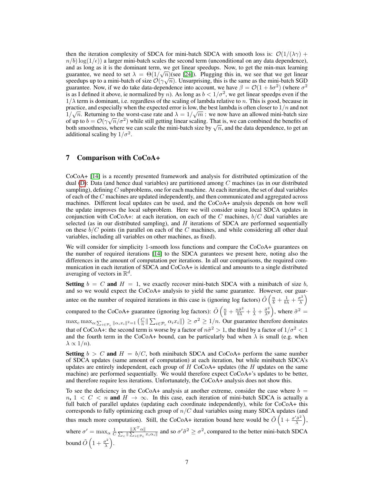then the iteration complexity of SDCA for mini-batch SDCA with smooth loss is:  $\mathcal{O}(1/(\lambda \gamma) +$  $n/b$ ) log( $1/\epsilon$ )) a larger mini-batch scales the second term (unconditional on any data dependence), and as long as it is the dominant term, we get linear speedups. Now, to get the min-max learning guarantee, we need to set  $\lambda = \Theta(1/\sqrt{n})$  (see [24]). Plugging this in, we see that we get linear speedups up to a mini-batch of size  $\mathcal{O}(\gamma\sqrt{n})$ . Unsurprising, this is the same as the mini-batch SGD guarantee. Now, if we do take data-dependence into account, we have  $\beta = \mathcal{O}(1 + b\sigma^2)$  (where  $\sigma^2$ is as I defined it above, ie normalized by *n*). As long as  $b < 1/\sigma^2$ , we get linear speedps even if the  $1/\lambda$  term is dominant, i.e. regardless of the scaling of lambda relative to n. This is good, because in practice, and especially when the expected error is low, the best lambda is often closer to  $1/n$  and not  $1/\sqrt{n}$ . Returning to the worst-case rate and  $\lambda = 1/\sqrt{m}$ : we now have an allowed mini-batch size of up to  $b = \mathcal{O}(\gamma \sqrt{n}/\sigma^2)$  while still getting linear scaling. That is, we can combined the benefits of of up to  $b = U(\gamma \sqrt{n}/\sigma^2)$  while suff getting linear scaling. That is, we can combined the benefits of both smoothness, where we can scale the mini-batch size by  $\sqrt{n}$ , and the data dependence, to get an additional scaling by  $1/\sigma^2$ .

# 7 Comparison with CoCoA+

CoCoA+ [14] is a recently presented framework and analysis for distributed optimization of the dual (D): Data (and hence dual variables) are partitioned among  $C$  machines (as in our distributed sampling), defining  $C$  subproblems, one for each machine. At each iteration, the set of dual variables of each of the C machines are updated independently, and then communicated and aggregated across machines. Different local updates can be used, and the CoCoA+ analysis depends on how well the update improves the local subproblem. Here we will consider using local SDCA updates in conjunction with CoCoA+: at each iteration, on each of the C machines,  $b/C$  dual variables are selected (as in our distributed sampling), and  $H$  iterations of SDCA are performed sequentially on these  $b/C$  points (in parallel on each of the C machines, and while considering all other dual variables, including all variables on other machines, as fixed).

We will consider for simplicity 1-smooth loss functions and compare the CoCoA+ guarantees on the number of required iterations [14] to the SDCA gurantees we present here, noting also the differences in the amount of computation per iterations. In all our comparisons, the required communication in each iteration of SDCA and CoCoA+ is identical and amounts to a single distributed averaging of vectors in  $\mathbb{R}^d$ .

**Setting**  $b = C$  and  $H = 1$ , we exactly recover mini-batch SDCA with a minibatch of size b, and so we would expect the CoCoA+ analysis to yield the same guarantee. However, our guarantee on the number of required iterations in this case is (ignoring log factors)  $\tilde{O}\left(\frac{n}{b} + \frac{1}{b\lambda} + \frac{\sigma^2}{\lambda}\right)$  $\left(\frac{\sigma^2}{\lambda}\right)$ compared to the CoCoA+ guarantee (ignoring log factors):  $\tilde{O}\left(\frac{n}{b} + \frac{n\tilde{\sigma}^2}{b\lambda} + \frac{1}{\lambda} + \frac{\tilde{\sigma}^2}{\lambda^2}\right)$  $\left(\frac{\tilde{\sigma}^2}{\lambda^2}\right)$ , where  $\tilde{\sigma}^2 =$  $\max_c \max_{\alpha: \sum_{i \in \mathcal{P}_c} ||\alpha_i x_i||^2 = 1} \left( \frac{C}{n} \|\sum_{i \in \mathcal{P}_c} \alpha_i x_i\|\right) \ge \sigma^2 \ge 1/n$ . Our guarantee therefore dominates that of CoCoA+: the second term is worse by a factor of  $n\tilde{\sigma}^2 > 1$ , the third by a factor of  $1/\sigma^2 < 1$ and the fourth term in the CoCoA+ bound, can be particularly bad when  $\lambda$  is small (e.g. when  $\lambda \propto 1/n$ ).

**Setting**  $b > C$  and  $H = b/C$ , both minibatch SDCA and CoCoA+ perform the same number of SDCA updates (same amount of computation) at each iteration, but while minibatch SDCA's updates are entirely independent, each group of  $H$  CoCoA+ updates (the  $H$  updates on the same machine) are performed sequentially. We would therefore expect  $CoCoA+$ 's updates to be better, and therefore require less iterations. Unfortunately, the CoCoA+ analysis does not show this.

To see the deficiency in the CoCoA+ analysis at another extreme, consider the case where  $b =$  $n, 1 < C < n$  and  $H \rightarrow \infty$ . In this case, each iteration of mini-batch SDCA is actually a full batch of parallel updates (updating each coordinate independently), while for CoCoA+ this corresponds to fully optimizing each group of  $n/C$  dual variables using many SDCA updates (and thus much more computation). Still, the CoCoA+ iteration bound here would be  $\tilde{O}\left(1+\frac{\sigma'\tilde{\sigma}^2}{\lambda}\right)$  $\left(\frac{\tilde{\sigma}^2}{\lambda}\right)$ , where  $\sigma' = \max_{\alpha} \frac{1}{C}$  $\frac{\|X^T \alpha\|}{\sum_{e} \|\sum_{i \in \mathcal{P}_e} x_i \alpha_i\|}$  and so  $\sigma' \tilde{\sigma}^2 \ge \sigma^2$ , compared to the better mini-batch SDCA bound  $\tilde{O}\left(1+\frac{\sigma^2}{\lambda}\right)$  $\frac{\sigma^2}{\lambda}$ .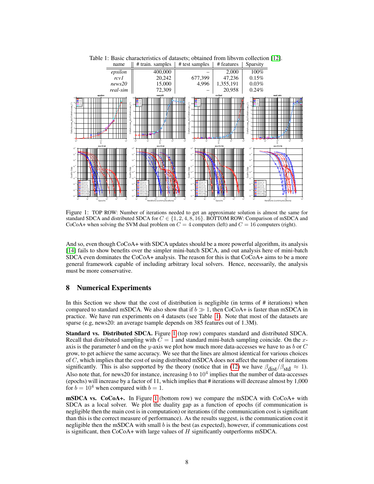

Table 1: Basic characteristics of datasets; obtained from libsum collection [12].<br>name  $\parallel$  # train. samples  $\parallel$  # test samples  $\parallel$  # features  $\parallel$  Sparsity

Figure 1: TOP ROW: Number of iterations needed to get an approximate solution is almost the same for standard SDCA and distributed SDCA for  $C \in \{1, 2, 4, 8, 16\}$ . BOTTOM ROW: Comparison of mSDCA and CoCoA+ when solving the SVM dual problem on  $C = 4$  computers (left) and  $C = 16$  computers (right).

And so, even though CoCoA+ with SDCA updates should be a more powerful algorithm, its analysis [14] fails to show benefits over the simpler mini-batch SDCA, and out analysis here of mini-batch SDCA even dominates the CoCoA+ analysis. The reason for this is that CoCoA+ aims to be a more general framework capable of including arbitrary local solvers. Hence, necessarily, the analysis must be more conservative.

# 8 Numerical Experiments

In this Section we show that the cost of distribution is negligible (in terms of # iterations) when compared to standard mSDCA. We also show that if  $b \gg 1$ , then CoCoA+ is faster than mSDCA in practice. We have run experiments on 4 datasets (see Table 1). Note that most of the datasets are sparse (e.g, news20: an average tsample depends on 385 features out of 1.3M).

Standard vs. Distributed SDCA. Figure 1 (top row) compares standard and distributed SDCA. Recall that distributed sampling with  $\tilde{C} = 1$  and standard mini-batch sampling coincide. On the xaxis is the parameter b and on the y-axis we plot how much more data-accesses we have to as b or  $C$ grow, to get achieve the same accuracy. We see that the lines are almost identical for various choices of  $C$ , which implies that the cost of using distributed mSDCA does not affect the number of iterations significantly. This is also supported by the theory (notice that in (12) we have  $\beta_{dist}/\beta_{std} \approx 1$ ). Also note that, for news20 for instance, increasing  $b$  to  $10^4$  implies that the number of data-accesses (epochs) will increase by a factor of 11, which implies that # iterations will decrease almost by 1,000 for  $b = 10^4$  when compared with  $b = 1$ .

mSDCA vs. CoCoA+. In Figure 1 (bottom row) we compare the mSDCA with CoCoA+ with SDCA as a local solver. We plot the duality gap as a function of epochs (if communication is negligible then the main cost is in computation) or iterations (if the communication cost is significant than this is the correct measure of performance). As the results suggest, is the communication cost it negligible then the mSDCA with small  $b$  is the best (as expected), however, if communications cost is significant, then  $CoCoA+$  with large values of  $H$  significantly outperforms mSDCA.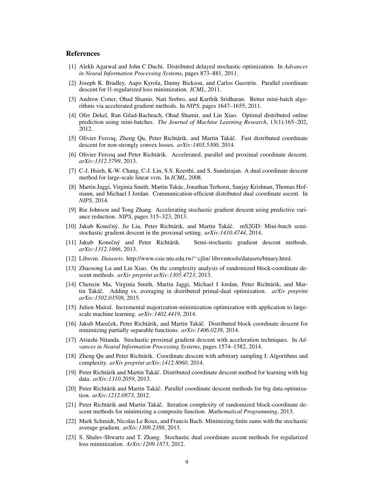# **References**

- [1] Alekh Agarwal and John C Duchi. Distributed delayed stochastic optimization. In *Advances in Neural Information Processing Systems*, pages 873–881, 2011.
- [2] Joseph K. Bradley, Aapo Kyrola, Danny Bickson, and Carlos Guestrin. Parallel coordinate descent for l1-regularized loss minimization. *ICML*, 2011.
- [3] Andrew Cotter, Ohad Shamir, Nati Srebro, and Karthik Sridharan. Better mini-batch algorithms via accelerated gradient methods. In *NIPS*, pages 1647–1655, 2011.
- [4] Ofer Dekel, Ran Gilad-Bachrach, Ohad Shamir, and Lin Xiao. Optimal distributed online prediction using mini-batches. *The Journal of Machine Learning Research*, 13(1):165–202, 2012.
- [5] Olivier Fercoq, Zheng Qu, Peter Richtárik, and Martin Takáč. Fast distributed coordinate descent for non-strongly convex losses. *arXiv:1405.5300*, 2014.
- [6] Olivier Fercoq and Peter Richtárik. Accelerated, parallel and proximal coordinate descent. *arXiv:1312.5799*, 2013.
- [7] C-J. Hsieh, K-W. Chang, C-J. Lin, S.S. Keerthi, and S. Sundarajan. A dual coordinate descent method for large-scale linear svm. In *ICML*, 2008.
- [8] Martin Jaggi, Virginia Smith, Martin Takac, Jonathan Terhorst, Sanjay Krishnan, Thomas Hof- ´ mann, and Michael I Jordan. Communication-efficient distributed dual coordinate ascent. In *NIPS*, 2014.
- [9] Rie Johnson and Tong Zhang. Accelerating stochastic gradient descent using predictive variance reduction. *NIPS*, pages 315–323, 2013.
- [10] Jakub Konečný, Jie Liu, Peter Richtárik, and Martin Takáč. mS2GD: Mini-batch semistochastic gradient descent in the proximal setting. *arXiv:1410.4744*, 2014.
- [11] Jakub Konečný and Peter Richtárik. Semi-stochastic gradient descent methods. *arXiv:1312.1666*, 2013.
- [12] Libsvm. *Datasets*. http://www.csie.ntu.edu.tw/<sup>∼</sup>cjlin/ libsvmtools/datasets/binary.html.
- [13] Zhaosong Lu and Lin Xiao. On the complexity analysis of randomized block-coordinate descent methods. *arXiv preprint arXiv:1305.4723*, 2013.
- [14] Chenxin Ma, Virginia Smith, Martin Jaggi, Michael I Jordan, Peter Richtarik, and Mar- ´ tin Takáč. Adding vs. averaging in distributed primal-dual optimization. *arXiv preprint arXiv:1502.03508*, 2015.
- [15] Julien Mairal. Incremental majorization-minimization optimization with application to largescale machine learning. *arXiv:1402.4419*, 2014.
- [16] Jakub Mareček, Peter Richtárik, and Martin Takáč. Distributed block coordinate descent for minimizing partially separable functions. *arXiv:1406.0238*, 2014.
- [17] Atsushi Nitanda. Stochastic proximal gradient descent with acceleration techniques. In *Advances in Neural Information Processing Systems*, pages 1574–1582, 2014.
- [18] Zheng Qu and Peter Richtárik. Coordinate descent with arbitrary sampling I: Algorithms and complexity. *arXiv preprint arXiv:1412.8060*, 2014.
- [19] Peter Richtárik and Martin Takáč. Distributed coordinate descent method for learning with big data. *arXiv:1310.2059*, 2013.
- [20] Peter Richtárik and Martin Takáč. Parallel coordinate descent methods for big data optimization. *arXiv:1212.0873*, 2012.
- [21] Peter Richtárik and Martin Takáč. Iteration complexity of randomized block-coordinate descent methods for minimizing a composite function. *Mathematical Programming*, 2013.
- [22] Mark Schmidt, Nicolas Le Roux, and Francis Bach. Minimizing finite sums with the stochastic average gradient. *arXiv:1309.2388*, 2013.
- [23] S. Shalev-Shwartz and T. Zhang. Stochastic dual coordinate ascent methods for regularized loss minimization. *ArXiv:1209.1873*, 2012.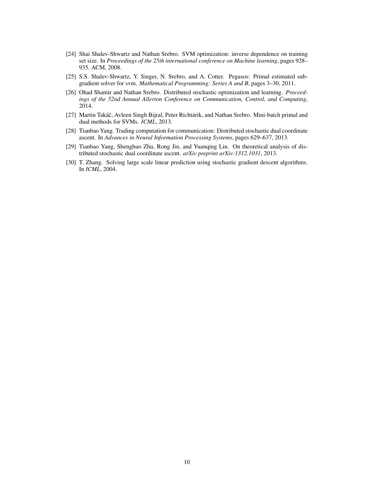- [24] Shai Shalev-Shwartz and Nathan Srebro. SVM optimization: inverse dependence on training set size. In *Proceedings of the 25th international conference on Machine learning*, pages 928– 935. ACM, 2008.
- [25] S.S. Shalev-Shwartz, Y. Singer, N. Srebro, and A. Cotter. Pegasos: Primal estimated subgradient solver for svm. *Mathematical Programming: Series A and B*, pages 3–30, 2011.
- [26] Ohad Shamir and Nathan Srebro. Distributed stochastic optimization and learning. *Proceedings of the 52nd Annual Allerton Conference on Communication, Control, and Computing*, 2014.
- [27] Martin Takáč, Avleen Singh Bijral, Peter Richtárik, and Nathan Srebro. Mini-batch primal and dual methods for SVMs. *ICML*, 2013.
- [28] Tianbao Yang. Trading computation for communication: Distributed stochastic dual coordinate ascent. In *Advances in Neural Information Processing Systems*, pages 629–637, 2013.
- [29] Tianbao Yang, Shenghuo Zhu, Rong Jin, and Yuanqing Lin. On theoretical analysis of distributed stochastic dual coordinate ascent. *arXiv preprint arXiv:1312.1031*, 2013.
- [30] T. Zhang. Solving large scale linear prediction using stochastic gradient descent algorithms. In *ICML*, 2004.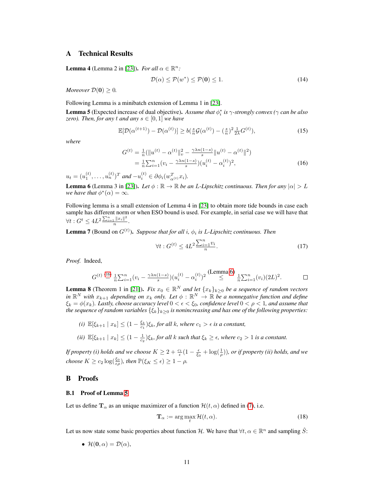# A Technical Results

**Lemma 4** (Lemma 2 in [23]). *For all*  $\alpha \in \mathbb{R}^n$ :

$$
\mathcal{D}(\alpha) \le \mathcal{P}(w^*) \le \mathcal{P}(\mathbf{0}) \le 1. \tag{14}
$$

*Moreover*  $\mathcal{D}(\mathbf{0}) > 0$ *.* 

Following Lemma is a minibatch extension of Lemma 1 in [23].

**Lemma 5** (Expected increase of dual objective). Assume that  $\phi_i^*$  is  $\gamma$ -strongly convex ( $\gamma$  can be also *zero*). Then, for any t and any  $s \in [0, 1]$  we have

$$
\mathbb{E}[\mathcal{D}(\alpha^{(t+1)}) - \mathcal{D}(\alpha^{(t)})] \ge b\left(\frac{s}{n}\mathcal{G}(\alpha^{(t)}) - \left(\frac{s}{n}\right)^2 \frac{1}{2\lambda}G^{(t)}\right),\tag{15}
$$

*where*

$$
G^{(t)} = \frac{1}{n} (\|u^{(t)} - \alpha^{(t)}\|_{v}^{2} - \frac{\gamma \lambda n (1 - s)}{s} \|u^{(t)} - \alpha^{(t)}\|^{2})
$$
  
= 
$$
\frac{1}{n} \sum_{i=1}^{n} (v_{i} - \frac{\gamma \lambda n (1 - s)}{s}) (u_{i}^{(t)} - \alpha_{i}^{(t)})^{2},
$$
 (16)

 $u_t = (u_1^{(t)}, \dots, u_n^{(t)})^T$  and  $-u_i^{(t)} \in \partial \phi_i(w_{\alpha^{(t)}}^T x_i)$ .

**Lemma 6** (Lemma 3 in [23]). *Let*  $\phi : \mathbb{R} \to \mathbb{R}$  *be an L-Lipschitz continuous. Then for any*  $|\alpha| > L$ *we have that*  $\phi^*(\alpha) = \infty$ *.* 

Following lemma is a small extension of Lemma 4 in [23] to obtain more tide bounds in case each sample has different norm or when ESO bound is used. For example, in serial case we will have that  $\forall t: G^t \leq 4L^2 \frac{\sum_{i=1}^n ||x_i||^2}{n}$  $\frac{1}{n}$ .

**Lemma 7** (Bound on  $G^{(t)}$ ). Suppose that for all i,  $\phi_i$  is L-Lipschitz continuous. Then

$$
\forall t: G^{(t)} \le 4L^2 \frac{\sum_{i=1}^n v_i}{n}.\tag{17}
$$

*Proof.* Indeed,

$$
G^{(t)} \stackrel{(16)}{=} \frac{1}{n} \sum_{i=1}^{n} (v_i - \frac{\gamma \lambda n (1-s)}{s}) (u_i^{(t)} - \alpha_i^{(t)})^2 \stackrel{\text{(Lemma 6)}}{\leq} \frac{1}{n} \sum_{i=1}^{n} (v_i) (2L)^2. \qquad \Box
$$

**Lemma 8** (Theorem 1 in [21]). *Fix*  $x_0 \in \mathbb{R}^N$  *and let*  $\{x_k\}_{k\geq 0}$  *be a sequence of random vectors in*  $\mathbb{R}^N$  with  $x_{k+1}$  depending on  $x_k$  only. Let  $\phi$  :  $\mathbb{R}^N \to \mathbb{R}$  be a nonnegative function and define  $\xi_k = \phi(x_k)$ *. Lastly, choose accuracy level*  $0 < \epsilon < \xi_0$ *, confidence level*  $0 < \rho < 1$ *, and assume that the sequence of random variables*  $\{\xi_k\}_{k>0}$  *is nonincreasing and has one of the following properties:* 

- $(i)$   $\mathbb{E}[\xi_{k+1} | x_k] \leq (1 \frac{\xi_k}{c_1})\xi_k$ , for all k, where  $c_1 > \epsilon$  is a constant,
- (*ii*)  $\mathbb{E}[\xi_{k+1} | x_k] \leq (1 \frac{1}{c_2})\xi_k$ , for all k such that  $\xi_k \geq \epsilon$ , where  $c_2 > 1$  is a constant.

*If property (i) holds and we choose*  $K \geq 2 + \frac{c_1}{\epsilon}(1 - \frac{\epsilon}{\xi_0} + \log(\frac{1}{\rho}))$ *, or if property (ii) holds, and we choose*  $K \geq c_2 \log(\frac{\xi_0}{\epsilon \rho})$ *, then*  $\mathbb{P}(\xi_K \leq \epsilon) \geq 1 - \rho$ *.* 

#### B Proofs

#### B.1 Proof of Lemma 5

Let us define  $\mathbf{T}_{\alpha}$  as an unique maximizer of a function  $\mathcal{H}(t, \alpha)$  defined in (7), i.e.

$$
\mathbf{T}_{\alpha} := \arg \max_{t} \mathcal{H}(t, \alpha). \tag{18}
$$

Let us now state some basic properties about function H. We have that  $\forall t, \alpha \in \mathbb{R}^n$  and sampling  $\hat{S}$ :

• 
$$
\mathcal{H}(\mathbf{0}, \alpha) = \mathcal{D}(\alpha),
$$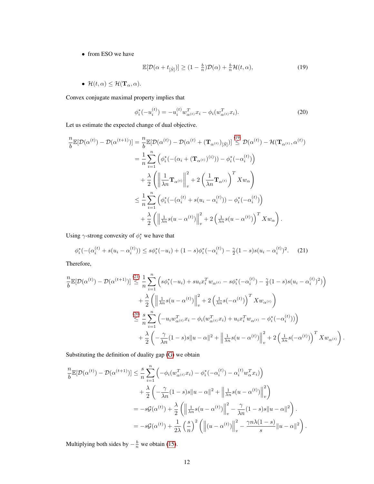• from ESO we have

$$
\mathbb{E}[\mathcal{D}(\alpha + t_{\left[\hat{S}\right]})] \ge (1 - \frac{b}{n})\mathcal{D}(\alpha) + \frac{b}{n}\mathcal{H}(t, \alpha),\tag{19}
$$

•  $\mathcal{H}(t, \alpha) \leq \mathcal{H}(\mathbf{T}_{\alpha}, \alpha)$ .

Convex conjugate maximal property implies that

$$
\phi_i^*(-u_i^{(t)}) = -u_i^{(t)}w_{\alpha^{(t)}}^T x_i - \phi_i(w_{\alpha^{(t)}}^T x_i).
$$
\n(20)

Let us estimate the expected change of dual objective.

$$
\frac{n}{b}\mathbb{E}[\mathcal{D}(\alpha^{(t)}) - \mathcal{D}(\alpha^{(t+1)})] = \frac{n}{b}\mathbb{E}[\mathcal{D}(\alpha^{(t)}) - \mathcal{D}(\alpha^{(t)} + (\mathbf{T}_{\alpha^{(t)}})_{[\hat{S}]})] \stackrel{(19)}{\leq} \mathcal{D}(\alpha^{(t)}) - \mathcal{H}(\mathbf{T}_{\alpha^{(t)}}, \alpha^{(t)})
$$
\n
$$
= \frac{1}{n}\sum_{i=1}^{n} \left( \phi_i^*(-(\alpha_i + (\mathbf{T}_{\alpha^{(t)}})^{(i)})) - \phi_i^*(-\alpha_i^{(t)}) \right)
$$
\n
$$
+ \frac{\lambda}{2} \left( \left\| \frac{1}{\lambda n} \mathbf{T}_{\alpha^{(t)}} \right\|_v^2 + 2 \left( \frac{1}{\lambda n} \mathbf{T}_{\alpha^{(t)}} \right)^T X w_\alpha \right)
$$
\n
$$
\leq \frac{1}{n}\sum_{i=1}^{n} \left( \phi_i^*(-(\alpha_i^{(t)} + s(u_i - \alpha_i^{(t)})) - \phi_i^*(-\alpha_i^{(t)}) \right)
$$
\n
$$
+ \frac{\lambda}{2} \left( \left\| \frac{1}{\lambda n} s(u - \alpha^{(t)}) \right\|_v^2 + 2 \left( \frac{1}{\lambda n} s(u - \alpha^{(t)}) \right)^T X w_\alpha \right).
$$

Using  $\gamma$ -strong convexity of  $\phi_i^*$  we have that

$$
\phi_i^*(-(\alpha_i^{(t)} + s(u_i - \alpha_i^{(t)})) \le s\phi_i^*(-u_i) + (1-s)\phi_i^*(-\alpha_i^{(t)}) - \frac{\gamma}{2}(1-s)s(u_i - \alpha_i^{(t)})^2. \tag{21}
$$

Therefore,

$$
\frac{n}{b}\mathbb{E}[\mathcal{D}(\alpha^{(t)}) - \mathcal{D}(\alpha^{(t+1)})] \stackrel{(21)}{\leq} \frac{1}{n} \sum_{i=1}^{n} \left( s\phi_i^*(-u_i) + su_i x_i^T w_{\alpha^{(t)}} - s\phi_i^*(-\alpha_i^{(t)}) - \frac{\gamma}{2}(1-s)s(u_i - \alpha_i^{(t)})^2) \right) \n+ \frac{\lambda}{2} \left( \left\| \frac{1}{\lambda n} s(u - \alpha^{(t)}) \right\|_v^2 + 2 \left( \frac{1}{\lambda n} s(-\alpha^{(t)}) \right)^T X w_{\alpha^{(t)}} \right) \n\leq \frac{\lambda}{2} \sum_{i=1}^{n} \left( -u_i w_{\alpha^{(t)}}^T x_i - \phi_i (w_{\alpha^{(t)}}^T x_i) + u_i x_i^T w_{\alpha^{(t)}} - \phi_i^*(-\alpha_i^{(t)}) \right) \n+ \frac{\lambda}{2} \left( -\frac{\gamma}{\lambda n} (1-s)s \|u - \alpha\|^2 + \left\| \frac{1}{\lambda n} s(u - \alpha^{(t)}) \right\|_v^2 + 2 \left( \frac{1}{\lambda n} s(-\alpha^{(t)}) \right)^T X w_{\alpha^{(t)}} \right).
$$

Substituting the definition of duality gap (G) we obtain

$$
\frac{n}{b}\mathbb{E}[\mathcal{D}(\alpha^{(t)}) - \mathcal{D}(\alpha^{(t+1)})] \leq \frac{s}{n} \sum_{i=1}^{n} \left( -\phi_i(w_{\alpha^{(t)}}^T x_i) - \phi_i^*(-\alpha_i^{(t)}) - \alpha_i^{(t)} w_{\alpha}^T x_i) \right) \n+ \frac{\lambda}{2} \left( -\frac{\gamma}{\lambda n} (1-s)s \|u - \alpha\|^2 + \left\| \frac{1}{\lambda n} s(u - \alpha^{(t)}) \right\|_v^2 \right) \n= -s\mathcal{G}(\alpha^{(t)}) + \frac{\lambda}{2} \left( \left\| \frac{1}{\lambda n} s(u - \alpha^{(t)}) \right\|_v^2 - \frac{\gamma}{\lambda n} (1-s)s \|u - \alpha\|^2 \right) \n= -s\mathcal{G}(\alpha^{(t)}) + \frac{1}{2\lambda} \left( \frac{s}{n} \right)^2 \left( \left\| (u - \alpha^{(t)}) \right\|_v^2 - \frac{\gamma n \lambda (1-s)}{s} \|u - \alpha\|^2 \right).
$$

Multiplying both sides by  $-\frac{b}{n}$  we obtain (15).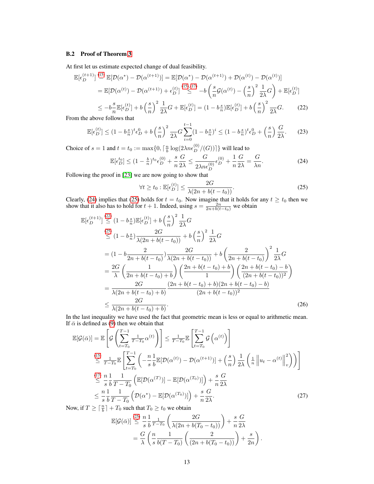# B.2 Proof of Theorem 3

At first let us estimate expected change of dual feasibility.

$$
\mathbb{E}[\epsilon_D^{(t+1)}] \stackrel{\text{(15)}}{=} \mathbb{E}[\mathcal{D}(\alpha^*) - \mathcal{D}(\alpha^{(t+1)})] = \mathbb{E}[\mathcal{D}(\alpha^*) - \mathcal{D}(\alpha^{(t+1)}) + \mathcal{D}(\alpha^{(t)}) - \mathcal{D}(\alpha^{(t)})]
$$
\n
$$
= \mathbb{E}[\mathcal{D}(\alpha^{(t)}) - \mathcal{D}(\alpha^{(t+1)}) + \epsilon_D^{(t)}] \stackrel{\text{(15),(17)}}{\leq} -b \left(\frac{s}{n} \mathcal{G}(\alpha^{(t)}) - \left(\frac{s}{n}\right)^2 \frac{1}{2\lambda} G\right) + \mathbb{E}[\epsilon_D^{(t)}]
$$
\n
$$
\leq -b\frac{s}{n} \mathbb{E}[\epsilon_D^{(t)}] + b\left(\frac{s}{n}\right)^2 \frac{1}{2\lambda} G + \mathbb{E}[\epsilon_D^{(t)}] = (1 - b\frac{s}{n}) \mathbb{E}[\epsilon_D^{(t)}] + b\left(\frac{s}{n}\right)^2 \frac{1}{2\lambda} G. \tag{22}
$$

From the above follows that

$$
\mathbb{E}[\epsilon_D^{(t)}] \le (1 - b_n^s)^t \epsilon_D^0 + b \left(\frac{s}{n}\right)^2 \frac{1}{2\lambda} G \sum_{i=0}^{t-1} (1 - b_n^s)^i \le (1 - b_n^s)^t \epsilon_D^0 + \left(\frac{s}{n}\right) \frac{G}{2\lambda}.\tag{23}
$$

Choice of  $s = 1$  and  $t = t_0 := \max\{0, \lceil \frac{n}{b} \log(2\lambda n \epsilon_D^{(0)}/(G)) \rceil\}$  will lead to

$$
\mathbb{E}[\epsilon_D^{t_0}] \le (1 - \frac{b}{n})^{t_0} \epsilon_D^{(0)} + \frac{s}{n} \frac{G}{2\lambda} \le \frac{G}{2\lambda n \epsilon_D^{(0)}} \epsilon_D^{(0)} + \frac{1}{n} \frac{G}{2\lambda} = \frac{G}{\lambda n}.
$$
 (24)

Following the proof in [23] we are now going to show that

$$
\forall t \ge t_0 : \mathbb{E}[\epsilon_D^{(t)}] \le \frac{2G}{\lambda(2n + b(t - t_0))}.
$$
 (25)

Clearly, (24) implies that (25) holds for  $t = t_0$ . Now imagine that it holds for any  $t \ge t_0$  then we show that it also has to hold for  $t + 1$ . Indeed, using  $s = \frac{2n}{2n+b(t-t_0)}$  we obtain

$$
\mathbb{E}[\epsilon_D^{(t+1)}] \stackrel{(22)}{\leq} (1 - b_{\overline{n}}^s) \mathbb{E}[\epsilon_D^{(t)}] + b\left(\frac{s}{n}\right)^2 \frac{1}{2\lambda}G
$$
\n
$$
\stackrel{(25)}{\leq} (1 - b_{\overline{n}}^s) \frac{2G}{\lambda(2n + b(t - t_0))} + b\left(\frac{s}{n}\right)^2 \frac{1}{2\lambda}G
$$
\n
$$
= (1 - b\frac{2}{2n + b(t - t_0)}) \frac{2G}{\lambda(2n + b(t - t_0))} + b\left(\frac{2}{2n + b(t - t_0)}\right)^2 \frac{1}{2\lambda}G
$$
\n
$$
= \frac{2G}{\lambda} \left(\frac{1}{2n + b(t - t_0) + b}\right) \left(\frac{2n + b(t - t_0) + b}{1}\right) \left(\frac{2n + b(t - t_0) - b}{(2n + b(t - t_0))^2}\right)
$$
\n
$$
= \frac{2G}{\lambda(2n + b(t - t_0) + b)} \frac{(2n + b(t - t_0) - b)}{(2n + b(t - t_0))^2}
$$
\n
$$
\leq \frac{2G}{\lambda(2n + b(t - t_0) + b)}.
$$
\n(26)

In the last inequality we have used the fact that geometric mean is less or equal to arithmetic mean. If  $\bar{\alpha}$  is defined as (9) then we obtain that

$$
\mathbb{E}[\mathcal{G}(\bar{\alpha})] = \mathbb{E}\left[\mathcal{G}\left(\sum_{t=T_0}^{T-1} \frac{1}{T-T_0} \alpha^{(t)}\right)\right] \leq \frac{1}{T-T_0} \mathbb{E}\left[\sum_{t=T_0}^{T-1} \mathcal{G}\left(\alpha^{(t)}\right)\right]
$$
\n
$$
\stackrel{\text{(15)}}{\leq} \frac{1}{T-T_0} \mathbb{E}\left[\sum_{t=T_0}^{T-1} \left(-\frac{n}{s} \frac{1}{b} \mathbb{E}[\mathcal{D}(\alpha^{(t)}) - \mathcal{D}(\alpha^{(t+1)})] + \left(\frac{s}{n}\right) \frac{1}{2\lambda} \left(\frac{1}{n} \left\|u_t - \alpha^{(t)}\right\|_{v}^{2}\right)\right)\right]
$$
\n
$$
\stackrel{\text{(17)}}{\leq} \frac{n}{s} \frac{1}{b} \frac{1}{T-T_0} \left(\mathbb{E}[\mathcal{D}(\alpha^{(T)})] - \mathbb{E}[\mathcal{D}(\alpha^{(T_0)})]\right) + \frac{s}{n} \frac{G}{2\lambda}
$$
\n
$$
\leq \frac{n}{s} \frac{1}{b} \frac{1}{T-T_0} \left(\mathcal{D}(\alpha^{*}) - \mathbb{E}[\mathcal{D}(\alpha^{(T_0)})]\right) + \frac{s}{n} \frac{G}{2\lambda}.
$$
\n
$$
\stackrel{\text{(27)}}{\leq} \mathbb{E}[\mathcal{D}(\mathcal{D}(\alpha^{*})] - \mathbb{E}[\mathcal{D}(\alpha^{(T_0)})]\right) + \frac{s}{n} \frac{G}{2\lambda}.
$$

Now, if  $T \geq \lceil \frac{n}{b} \rceil + T_0$  such that  $T_0 \geq t_0$  we obtain

$$
\mathbb{E}[G(\bar{\alpha})] \stackrel{(25)}{\leq} \frac{n}{s} \frac{1}{b} \frac{1}{T-T_0} \left( \frac{2G}{\lambda(2n + b(T_0 - t_0))} \right) + \frac{s}{n} \frac{G}{2\lambda} \n= \frac{G}{\lambda} \left( \frac{n}{s} \frac{1}{b(T-T_0)} \left( \frac{2}{(2n + b(T_0 - t_0))} \right) + \frac{s}{2n} \right).
$$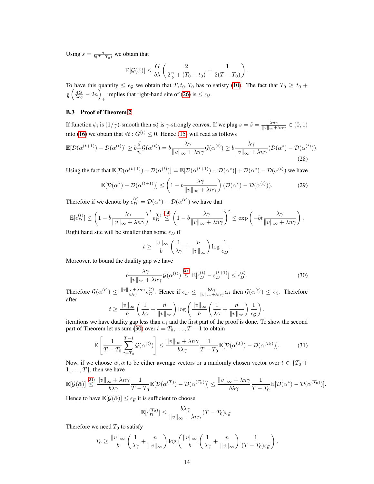Using  $s = \frac{n}{b(T - T_0)}$  we obtain that

$$
\mathbb{E}[\mathcal{G}(\bar{\alpha})] \leq \frac{G}{b\lambda} \left( \frac{2}{2\frac{n}{b} + (T_0 - t_0)} + \frac{1}{2(T - T_0)} \right).
$$

To have this quantity  $\leq \epsilon_g$  we obtain that  $T, t_0, T_0$  has to satisfy (10). The fact that  $T_0 \geq t_0 + T_0$  $\frac{1}{b}\left(\frac{4G}{\lambda \epsilon_{\mathcal{G}}}-2n\right)$ implies that right-hand site of (26) is  $\leq \epsilon_{\mathcal{G}}$ .

#### B.3 Proof of Theorem 2

If function  $\phi_i$  is  $(1/\gamma)$ -smooth then  $\phi_i^*$  is  $\gamma$ -strongly convex. If we plug  $s = \tilde{s} = \frac{\lambda n \gamma}{\|v\|_{\infty} + \lambda n \gamma} \in (0, 1)$ into (16) we obtain that  $\forall t : G^{(t)} \leq 0$ . Hence (15) will read as follows

$$
\mathbb{E}[\mathcal{D}(\alpha^{(t+1)}) - \mathcal{D}(\alpha^{(t)})] \ge b\frac{\tilde{s}}{n}\mathcal{G}(\alpha^{(t)}) = b\frac{\lambda\gamma}{\|v\|_{\infty} + \lambda n\gamma}\mathcal{G}(\alpha^{(t)}) \ge b\frac{\lambda\gamma}{\|v\|_{\infty} + \lambda n\gamma}(\mathcal{D}(\alpha^*) - \mathcal{D}(\alpha^{(t)})).
$$
\n(28)

Using the fact that  $\mathbb{E}[\mathcal{D}(\alpha^{(t+1)}) - \mathcal{D}(\alpha^{(t)})] = \mathbb{E}[\mathcal{D}(\alpha^{(t+1)}) - \mathcal{D}(\alpha^*)] + \mathcal{D}(\alpha^*) - \mathcal{D}(\alpha^{(t)})$  we have

$$
\mathbb{E}[\mathcal{D}(\alpha^*) - \mathcal{D}(\alpha^{(t+1)})] \le \left(1 - b \frac{\lambda \gamma}{\|v\|_{\infty} + \lambda n \gamma}\right) (\mathcal{D}(\alpha^*) - \mathcal{D}(\alpha^{(t)})). \tag{29}
$$

Therefore if we denote by  $\epsilon_D^{(t)} = \mathcal{D}(\alpha^*) - \mathcal{D}(\alpha^{(t)})$  we have that

$$
\mathbb{E}[\epsilon_D^{(t)}] \le \left(1 - b \frac{\lambda \gamma}{\|v\|_{\infty} + \lambda n \gamma}\right)^t \epsilon_D^{(0)} \stackrel{(14)}{\le} \left(1 - b \frac{\lambda \gamma}{\|v\|_{\infty} + \lambda n \gamma}\right)^t \le \exp\left(-bt \frac{\lambda \gamma}{\|v\|_{\infty} + \lambda n \gamma}\right).
$$

Right hand site will be smaller than some  $\epsilon_D$  if

$$
t \ge \frac{\|v\|_{\infty}}{b} \left(\frac{1}{\lambda \gamma} + \frac{n}{\|v\|_{\infty}}\right) \log \frac{1}{\epsilon_D}
$$

Moreover, to bound the duality gap we have

$$
b \frac{\lambda \gamma}{\|v\|_{\infty} + \lambda n \gamma} \mathcal{G}(\alpha^{(t)}) \stackrel{(28)}{\leq} \mathbb{E}[\epsilon_D^{(t)} - \epsilon_D^{(t+1)}] \leq \epsilon_D^{(t)}.
$$
 (30)

.

Therefore  $\mathcal{G}(\alpha^{(t)}) \leq \frac{\|v\|_{\infty} + \lambda n \gamma}{b \lambda \gamma} \epsilon_D^{(t)}$ . Hence if  $\epsilon_D \leq \frac{b \lambda \gamma}{\|v\|_{\infty} + \lambda n \gamma} \epsilon_G$  then  $\mathcal{G}(\alpha^{(t)}) \leq \epsilon_G$ . Therefore after

$$
t \ge \frac{\|v\|_{\infty}}{b} \left(\frac{1}{\lambda \gamma} + \frac{n}{\|v\|_{\infty}}\right) \log\left(\frac{\|v\|_{\infty}}{b} \left(\frac{1}{\lambda \gamma} + \frac{n}{\|v\|_{\infty}}\right) \frac{1}{\epsilon_{\mathcal{G}}}\right).
$$

iterations we have duality gap less than  $\epsilon_{\mathcal{G}}$  and the first part of the proof is done. To show the second part of Theorem let us sum (30) over  $t = T_0, \ldots, T - 1$  to obtain

$$
\mathbb{E}\left[\frac{1}{T-T_0}\sum_{t=T_0}^{T-1}\mathcal{G}(\alpha^{(t)})\right] \le \frac{\|v\|_{\infty} + \lambda n\gamma}{b\lambda\gamma} \frac{1}{T-T_0}\mathbb{E}[\mathcal{D}(\alpha^{(T)}) - \mathcal{D}(\alpha^{(T_0)})].\tag{31}
$$

Now, if we choose  $\bar{w}, \bar{\alpha}$  to be either average vectors or a randomly chosen vector over  $t \in \{T_0 + \bar{X}_0\}$  $1, \ldots, T$ , then we have

$$
\mathbb{E}[\mathcal{G}(\bar{\alpha})] \stackrel{\text{(31)}}{\leq} \frac{\|v\|_{\infty} + \lambda n \gamma}{b \lambda \gamma} \frac{1}{T - T_0} \mathbb{E}[\mathcal{D}(\alpha^{(T)}) - \mathcal{D}(\alpha^{(T_0)})] \leq \frac{\|v\|_{\infty} + \lambda n \gamma}{b \lambda \gamma} \frac{1}{T - T_0} \mathbb{E}[\mathcal{D}(\alpha^*) - \mathcal{D}(\alpha^{(T_0)})].
$$

Hence to have  $\mathbb{E}[\mathcal{G}(\bar{\alpha})] \leq \epsilon_{\mathcal{G}}$  it is sufficient to choose

$$
\mathbb{E}[\epsilon_D^{(T_0)}] \leq \frac{b\lambda\gamma}{\|v\|_{\infty} + \lambda n\gamma} (T - T_0)\epsilon_{\mathcal{G}}.
$$

Therefore we need  $T_0$  to satisfy

$$
T_0 \ge \frac{\|v\|_{\infty}}{b} \left(\frac{1}{\lambda \gamma} + \frac{n}{\|v\|_{\infty}}\right) \log \left(\frac{\|v\|_{\infty}}{b} \left(\frac{1}{\lambda \gamma} + \frac{n}{\|v\|_{\infty}}\right) \frac{1}{(T - T_0)\epsilon_{\mathcal{G}}}\right).
$$